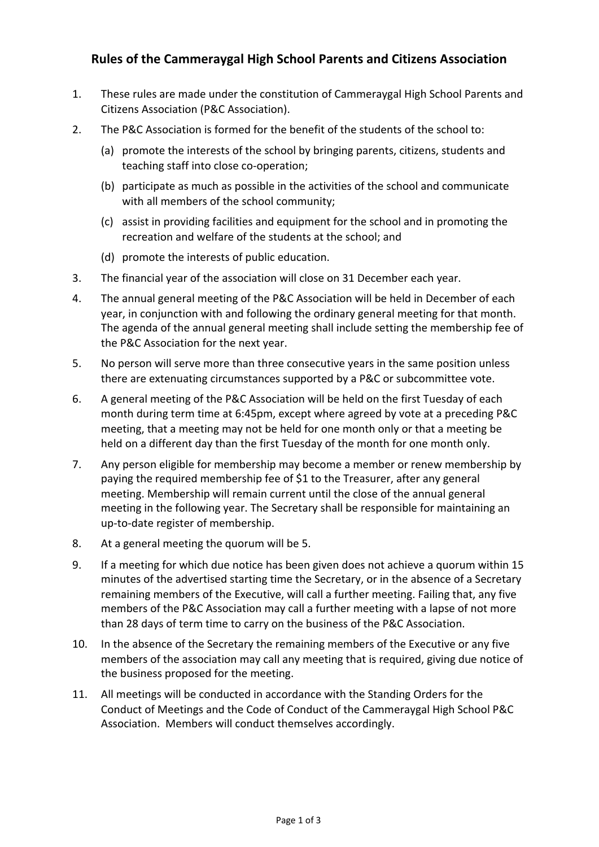## **Rules of the Cammeraygal High School Parents and Citizens Association**

- 1. These rules are made under the constitution of Cammeraygal High School Parents and Citizens Association (P&C Association).
- 2. The P&C Association is formed for the benefit of the students of the school to:
	- (a) promote the interests of the school by bringing parents, citizens, students and teaching staff into close co-operation;
	- (b) participate as much as possible in the activities of the school and communicate with all members of the school community;
	- (c) assist in providing facilities and equipment for the school and in promoting the recreation and welfare of the students at the school; and
	- (d) promote the interests of public education.
- 3. The financial year of the association will close on 31 December each year.
- 4. The annual general meeting of the P&C Association will be held in December of each year, in conjunction with and following the ordinary general meeting for that month. The agenda of the annual general meeting shall include setting the membership fee of the P&C Association for the next year.
- 5. No person will serve more than three consecutive years in the same position unless there are extenuating circumstances supported by a P&C or subcommittee vote.
- 6. A general meeting of the P&C Association will be held on the first Tuesday of each month during term time at 6:45pm, except where agreed by vote at a preceding P&C meeting, that a meeting may not be held for one month only or that a meeting be held on a different day than the first Tuesday of the month for one month only.
- 7. Any person eligible for membership may become a member or renew membership by paying the required membership fee of \$1 to the Treasurer, after any general meeting. Membership will remain current until the close of the annual general meeting in the following year. The Secretary shall be responsible for maintaining an up-to-date register of membership.
- 8. At a general meeting the quorum will be 5.
- 9. If a meeting for which due notice has been given does not achieve a quorum within 15 minutes of the advertised starting time the Secretary, or in the absence of a Secretary remaining members of the Executive, will call a further meeting. Failing that, any five members of the P&C Association may call a further meeting with a lapse of not more than 28 days of term time to carry on the business of the P&C Association.
- 10. In the absence of the Secretary the remaining members of the Executive or any five members of the association may call any meeting that is required, giving due notice of the business proposed for the meeting.
- 11. All meetings will be conducted in accordance with the Standing Orders for the Conduct of Meetings and the Code of Conduct of the Cammeraygal High School P&C Association. Members will conduct themselves accordingly.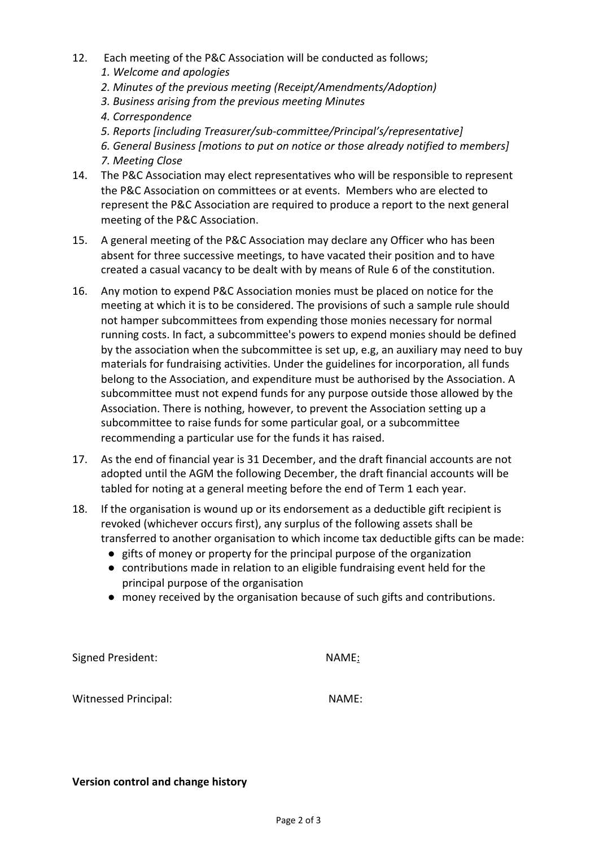- 12. Each meeting of the P&C Association will be conducted as follows;
	- *1. Welcome and apologies*
	- *2. Minutes of the previous meeting (Receipt/Amendments/Adoption)*
	- *3. Business arising from the previous meeting Minutes*
	- *4. Correspondence*
	- *5. Reports [including Treasurer/sub-committee/Principal's/representative]*
	- *6. General Business [motions to put on notice or those already notified to members] 7. Meeting Close*
- 14. The P&C Association may elect representatives who will be responsible to represent the P&C Association on committees or at events. Members who are elected to represent the P&C Association are required to produce a report to the next general meeting of the P&C Association.
- 15. A general meeting of the P&C Association may declare any Officer who has been absent for three successive meetings, to have vacated their position and to have created a casual vacancy to be dealt with by means of Rule 6 of the constitution.
- 16. Any motion to expend P&C Association monies must be placed on notice for the meeting at which it is to be considered. The provisions of such a sample rule should not hamper subcommittees from expending those monies necessary for normal running costs. In fact, a subcommittee's powers to expend monies should be defined by the association when the subcommittee is set up, e.g, an auxiliary may need to buy materials for fundraising activities. Under the guidelines for incorporation, all funds belong to the Association, and expenditure must be authorised by the Association. A subcommittee must not expend funds for any purpose outside those allowed by the Association. There is nothing, however, to prevent the Association setting up a subcommittee to raise funds for some particular goal, or a subcommittee recommending a particular use for the funds it has raised.
- 17. As the end of financial year is 31 December, and the draft financial accounts are not adopted until the AGM the following December, the draft financial accounts will be tabled for noting at a general meeting before the end of Term 1 each year.
- 18. If the organisation is wound up or its endorsement as a deductible gift recipient is revoked (whichever occurs first), any surplus of the following assets shall be transferred to another organisation to which income tax deductible gifts can be made:
	- gifts of money or property for the principal purpose of the organization
	- contributions made in relation to an eligible fundraising event held for the principal purpose of the organisation
	- money received by the organisation because of such gifts and contributions.

Signed President: NAME:

Witnessed Principal: NAME:

## **Version control and change history**